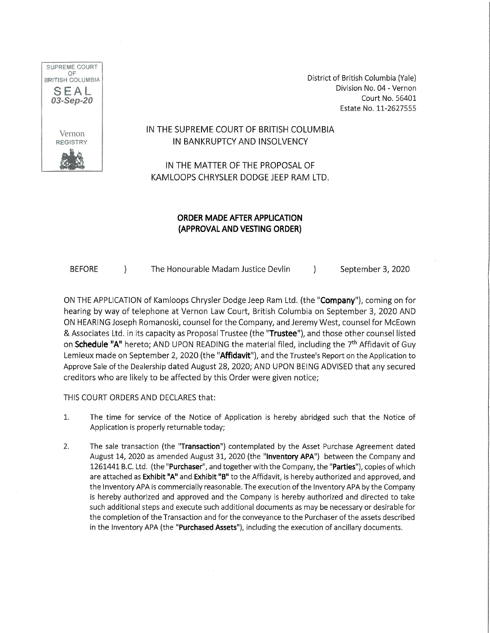

District of British Columbia (Yale) Division No. 04 - Vernon Court No. 56401 Estate No. 11-2627555

### IN THE SUPREME COURT OF BRITISH COLUMBIA IN BANKRUPTCY AND INSOLVENCY

IN THE MATTER OF THE PROPOSAL OF KAMLOOPS CHRYSLER DODGE JEEP RAM LTD.

### ORDER MADE AFTER APPLICATION (APPROVAL AND VESTING ORDER)

BEFORE ) The Honourable Madam Justice Devlin (a) September 3, 2020

ON THE APPLICATION of Kamloops Chrysler Dodge Jeep Ram Ltd. (the "**Company**"), coming on for hearing by way of telephone at Vernon Law Court, British Columbia on September 3, 2020 AND ON HEARING Joseph Romanoski, counsel for the Company, and Jeremy West, counsel for McEown & Associates Ltd. in its capacity as Proposal Trustee (the "Trustee"), and those other counsel listed on **Schedule "A"** hereto; AND UPON READING the material filed, including the 7<sup>th</sup> Affidavit of Guy Lemieux made on September 2, 2020 (the "Affidavit"), and the Trustee's Report on the Application to Approve Sale of the Dealership dated August 28, 2020; AND UPON BEING ADVISED that any secured creditors who are likely to be affected by this Order were given notice;

THIS COURT ORDERS AND DECLARES that:

- 1. The time for service of the Notice of Application is hereby abridged such that the Notice of Application is properly returnable today;
- 2. The sale transaction (the "Transaction") contemplated by the Asset Purchase Agreement dated August 14, 2020 as amended August 31, 2020 (the "Inventory APA") between the Company and 1261441 B.C. Ltd. (the "Purchaser", and together with the Company, the "Parties"), copies of which are attached as Exhibit "A" and Exhibit "B" to the Affidavit, is hereby authorized and approved, and the Inventory APA is commercially reasonable. The execution of the Inventory APA by the Company is hereby authorized and approved and the Company is hereby authorized and directed to take such additional steps and execute such additional documents as may be necessary or desirable for the completion of the Transaction and for the conveyance to the Purchaser of the assets described in the Inventory APA (the "Purchased Assets"), including the execution of ancillary documents.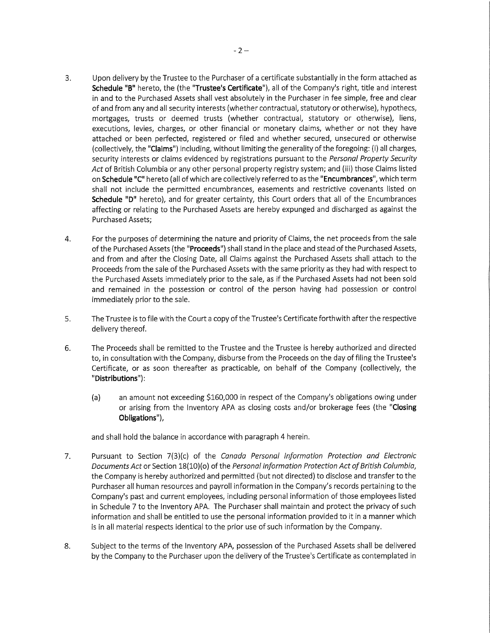- 3. Upon delivery by the Trustee to the Purchaser of a certificate substantially in the form attached as Schedule "B" hereto, the (the "Trustee's Certificate"), all of the Company's right, title and interest in and to the Purchased Assets shall vest absolutely in the Purchaser in fee simple, free and clear of and from any and all security interests (whether contractual, statutory or otherwise), hypothecs, mortgages, trusts or deemed trusts (whether contractual, statutory or otherwise), liens, executions, levies, charges, or other financial or monetary claims, whether or not they have attached or been perfected, registered or filed and whether secured, unsecured or otherwise (collectively, the "Claims") including, without limiting the generality of the foregoing: (i) all charges, security interests or claims evidenced by registrations pursuant to the Personal Property Security Act of British Columbia or any other personal property registry system; and (iii) those Claims listed on Schedule "C" hereto (all of which are collectively referred to as the "Encumbrances", which term shall not include the permitted encumbrances, easements and restrictive covenants listed on Schedule "D" hereto), and for greater certainty, this Court orders that all of the Encumbrances affecting or relating to the Purchased Assets are hereby expunged and discharged as against the Purchased Assets;
- 4. For the purposes of determining the nature and priority of Claims, the net proceeds from the sale of the Purchased Assets (the "Proceeds") shall stand in the place and stead of the Purchased Assets, and from and after the Closing Date, all Claims against the Purchased Assets shall attach to the Proceeds from the sale of the Purchased Assets with the same priority as they had with respect to the Purchased Assets immediately prior to the sale, as if the Purchased Assets had not been sold and remained in the possession or control of the person having had possession or control immediately prior to the sale.
- 5. The Trustee is to file with the Court a copy of the Trustee's Certificate forthwith after the respective delivery thereof.
- 6. The Proceeds shall be remitted to the Trustee and the Trustee is hereby authorized and directed to, in consultation with the Company, disburse from the Proceeds on the day of filing the Trustee's Certificate, or as soon thereafter as practicable, on behalf of the Company (collectively, the "Distributions"):
	- (a) an amount not exceeding \$160,000 in respect of the Company's obligations owing under or arising from the Inventory APA as closing costs and/or brokerage fees (the "Closing Obligations"),

and shall hold the balance in accordance with paragraph 4 herein.

- 7. Pursuant to Section 7(3)(c) of the Canada Personal Information Protection and Electronic Documents Act or Section 18(10)(o) of the Personal Information Protection Act of British Columbia, the Company is hereby authorized and permitted (but not directed) to disclose and transfer to the Purchaser all human resources and payroll information in the Company's records pertaining to the Company's past and current employees, including personal information of those employees listed in Schedule 7 to the Inventory APA. The Purchaser shall maintain and protect the privacy of such information and shall be entitled to use the personal information provided to it in a manner which is in all material respects identical to the prior use of such information by the Company.
- 8. Subject to the terms of the Inventory APA, possession of the Purchased Assets shall be delivered by the Company to the Purchaser upon the delivery of the Trustee's Certificate as contemplated in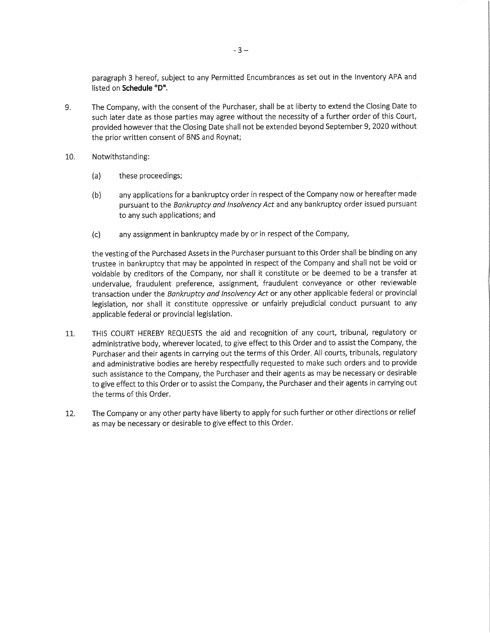paragraph 3 hereof, subject to any Permitted Encumbrances as set out in the Inventory APA and listed on Schedule "D".

- 9. The Company, with the consent of the Purchaser, shall be at liberty to extend the Closing Date to such later date as those parties may agree without the necessity of a further order of this Court, provided however that the Closing Date shall not be extended beyond September 9, 2020 without the prior written consent of BNS and Roynat;
- 10. Notwithstanding:
	- (a) these proceedings;
	- (b) any applications for a bankruptcy order in respect of the Company now or hereafter made pursuant to the Bankruptcy and Insolvency Act and any bankruptcy order issued pursuant to any such applications; and
	- (c) any assignment in bankruptcy made by or in respect of the Company,

the vesting of the Purchased Assets in the Purchaser pursuant to this Order shall be binding on any trustee in bankruptcy that may be appointed in respect of the Company and shall not be void or voidable by creditors of the Company, nor shall it constitute or be deemed to be a transfer at undervalue, fraudulent preference, assignment, fraudulent conveyance or other reviewable transaction under the Bankruptcy and Insolvency Act or any other applicable federal or provincial legislation, nor shall it constitute oppressive or unfairly prejudicial conduct pursuant to any applicable federal or provincial legislation.

- 11. THIS COURT HEREBY REQUESTS the aid and recognition of any court, tribunal, regulatory or administrative body, wherever located, to give effect to this Order and to assist the Company, the Purchaser and their agents in carrying out the terms of this Order. All courts, tribunals, regulatory and administrative bodies are hereby respectfully requested to make such orders and to provide such assistance to the Company, the Purchaser and their agents as may be necessary or desirable to give effect to this Order or to assist the Company, the Purchaser and their agents in carrying out the terms of this Order.
- 12. The Company or any other party have liberty to apply for such further or other directions or relief as may be necessary or desirable to give effect to this Order.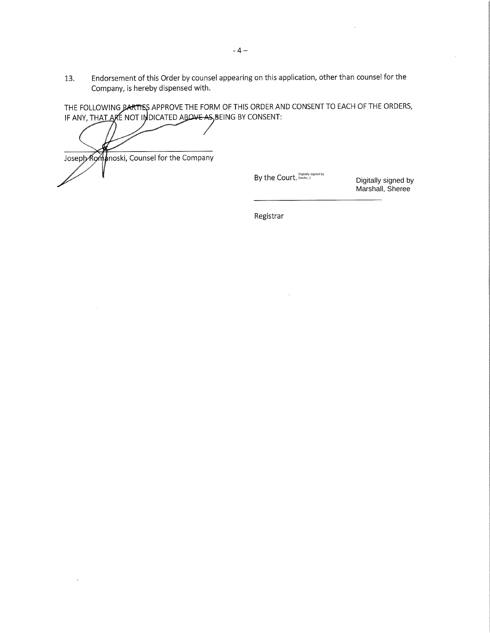13. Endorsement of this Order by counsel appearing on this application, other than counsel for the Company, is hereby dispensed with.

THE FOLLOWING PARTISS APPROVE THE FORM OF THIS ORDER AND CONSENT TO EACH OF THE ORDERS, IF ANY, TH<u>AT A</u>RE NOT INDICATED ABO<del>VE AS</del>,BEING BY CONSENT:

Joseph Romanoski, Counsel for the Company

By the Court. Devlin, J

Digitally signed by Marshall, Sheree

Registrar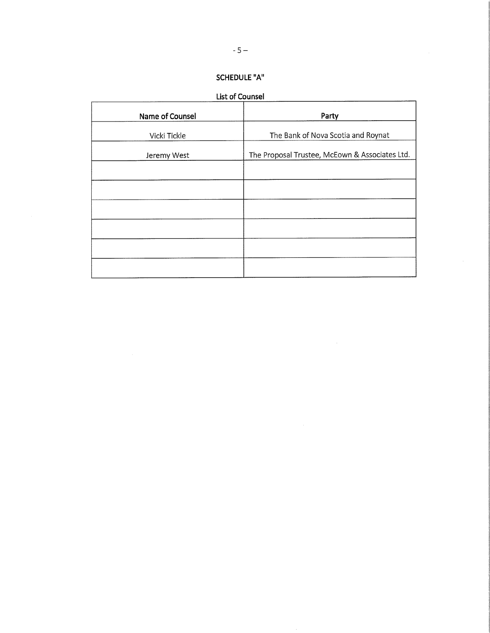## SCHEDULE "A"

List of Counsel

| Party                                          |
|------------------------------------------------|
| The Bank of Nova Scotia and Roynat             |
| The Proposal Trustee, McEown & Associates Ltd. |
|                                                |
|                                                |
|                                                |
|                                                |
|                                                |
|                                                |
|                                                |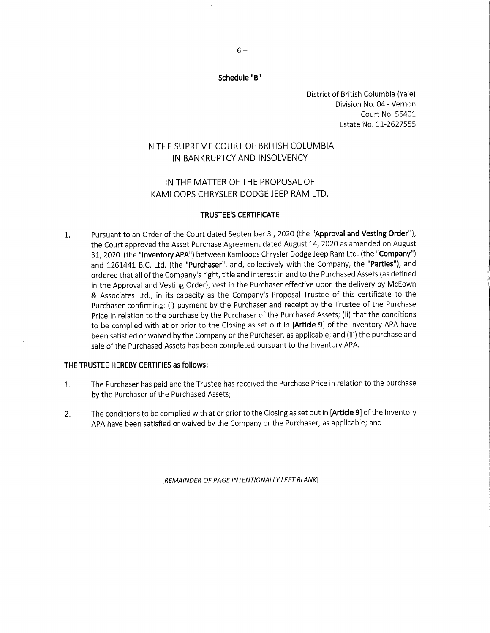District of British Columbia (Yale) Division No. 04 - Vernon Court No. 56401 Estate No. 11-2627555

### IN THE SUPREME COURT OF BRITISH COLUMBIA IN BANKRUPTCY AND INSOLVENCY

### IN THE MATTER OF THE PROPOSAL OF KAMLOOPS CHRYSLER DODGE JEEP RAM LTD.

#### TRUSTEE'S CERTIFICATE

1. Pursuant to an Order of the Court dated September 3, 2020 (the "Approval and Vesting Order"), the Court approved the Asset Purchase Agreement dated August 14, 2020 as amended on August 31, 2020 (the "Inventory APA") between Kamloops Chrysler Dodge Jeep Ram Ltd. (the "Company") and 1261441 B.C. Ltd. (the "Purchaser", and, collectively with the Company, the "Parties"), and ordered that all of the Company's right, title and interest in and to the Purchased Assets (as defined in the Approval and Vesting Order), vest in the Purchaser effective upon the delivery by McEown & Associates Ltd., in its capacity as the Company's Proposal Trustee of this certificate to the Purchaser confirming: (i) payment by the Purchaser and receipt by the Trustee of the Purchase Price in relation to the purchase by the Purchaser of the Purchased Assets; (ii) that the conditions to be complied with at or prior to the Closing as set out in [Article 9] of the Inventory APA have been satisfied or waived by the Company or the Purchaser, as applicable; and (iii) the purchase and sale of the Purchased Assets has been completed pursuant to the Inventory APA.

#### THE TRUSTEE HEREBY CERTIFIES as follows:

- 1. The Purchaser has paid and the Trustee has received the Purchase Price in relation to the purchase by the Purchaser of the Purchased Assets;
- 2. The conditions to be complied with at or prior to the Closing as set out in [Article 9] of the Inventory APA have been satisfied or waived by the Company or the Purchaser, as applicable; and

[REMAINDER OF PAGE INTENTIONALLY LEFT BLANK]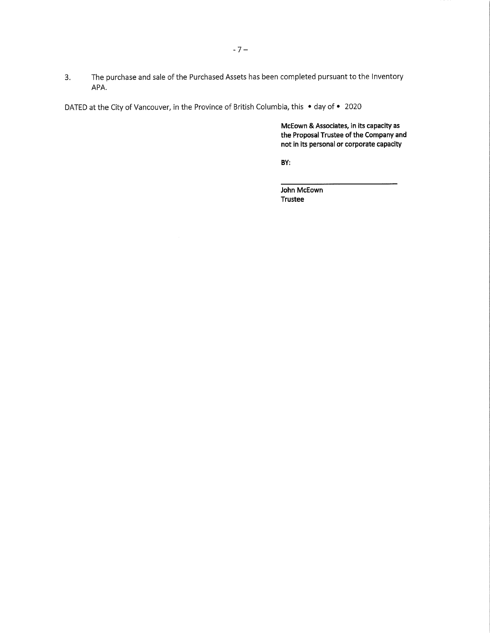3. The purchase and sale of the Purchased Assets has been completed pursuant to the Inventory APA.

DATED at the City of Vancouver, in the Province of British Columbia, this • day of • 2020

McEown & Associates, in its capacity as the Proposal Trustee of the Company and not in its personal or corporate capacity

BY:

John McEown Trustee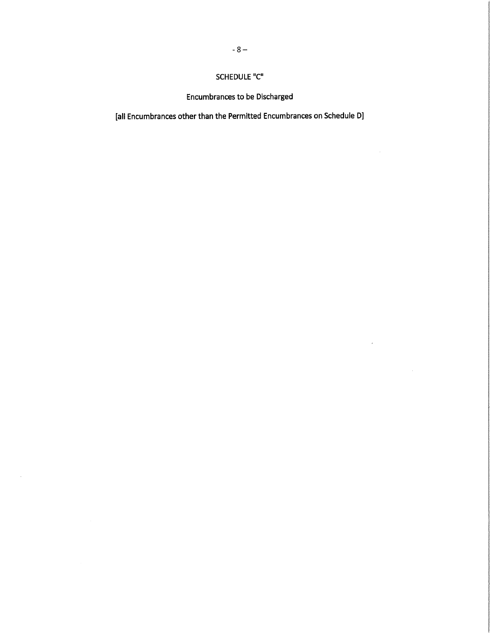# SCHEDULE "C"

**Encumbrances to be Discharged** 

[all Encumbrances other than the Permitted Encumbrances on Schedule D]

 $\bar{z}_k$ 

 $\bar{x}$